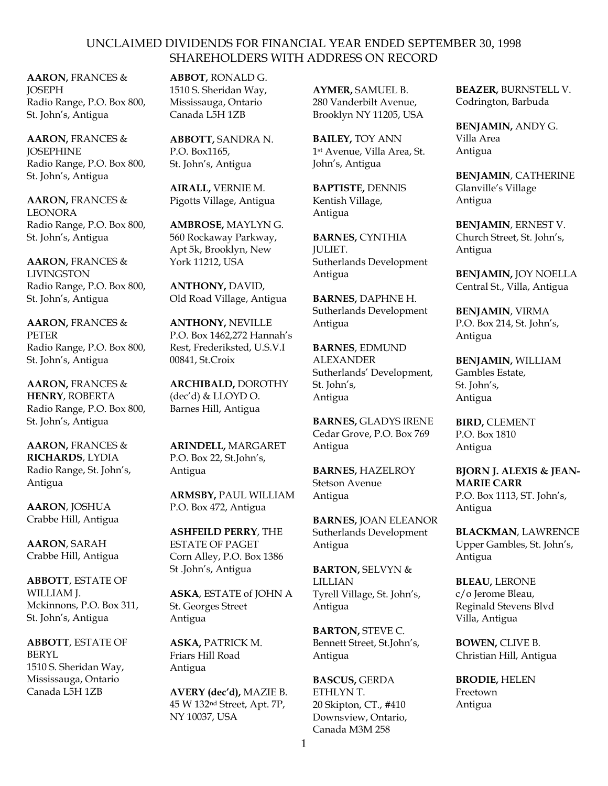**AARON,** FRANCES & *JOSEPH* Radio Range, P.O. Box 800, St. John's, Antigua

**AARON,** FRANCES & **JOSEPHINE** Radio Range, P.O. Box 800, St. John's, Antigua

**AARON,** FRANCES & LEONORA Radio Range, P.O. Box 800, St. John's, Antigua

**AARON,** FRANCES & LIVINGSTON Radio Range, P.O. Box 800, St. John's, Antigua

**AARON,** FRANCES & PETER Radio Range, P.O. Box 800, St. John's, Antigua

**AARON,** FRANCES & **HENRY**, ROBERTA Radio Range, P.O. Box 800, St. John's, Antigua

**AARON,** FRANCES & **RICHARDS**, LYDIA Radio Range, St. John's, Antigua

**AARON**, JOSHUA Crabbe Hill, Antigua

**AARON**, SARAH Crabbe Hill, Antigua

**ABBOTT**, ESTATE OF WILLIAM J. Mckinnons, P.O. Box 311, St. John's, Antigua

**ABBOTT**, ESTATE OF BERYL 1510 S. Sheridan Way, Mississauga, Ontario Canada L5H 1ZB

**ABBOT,** RONALD G. 1510 S. Sheridan Way, Mississauga, Ontario Canada L5H 1ZB

**ABBOTT,** SANDRA N. P.O. Box1165, St. John's, Antigua

**AIRALL,** VERNIE M. Pigotts Village, Antigua

**AMBROSE,** MAYLYN G. 560 Rockaway Parkway, Apt 5k, Brooklyn, New York 11212, USA

**ANTHONY,** DAVID, Old Road Village, Antigua

**ANTHONY,** NEVILLE P.O. Box 1462,272 Hannah's Rest, Frederiksted, U.S.V.I 00841, St.Croix

**ARCHIBALD,** DOROTHY (dec'd) & LLOYD O. Barnes Hill, Antigua

**ARINDELL,** MARGARET P.O. Box 22, St.John's, Antigua

**ARMSBY,** PAUL WILLIAM P.O. Box 472, Antigua

**ASHFEILD PERRY**, THE ESTATE OF PAGET Corn Alley, P.O. Box 1386 St .John's, Antigua

**ASKA**, ESTATE of JOHN A St. Georges Street Antigua

**ASKA,** PATRICK M. Friars Hill Road Antigua

**AVERY (dec'd),** MAZIE B. 45 W 132nd Street, Apt. 7P, NY 10037, USA

**AYMER,** SAMUEL B. 280 Vanderbilt Avenue, Brooklyn NY 11205, USA

**BAILEY,** TOY ANN 1 st Avenue, Villa Area, St. John's, Antigua

**BAPTISTE,** DENNIS Kentish Village, Antigua

**BARNES,** CYNTHIA JULIET. Sutherlands Development Antigua

**BARNES,** DAPHNE H. Sutherlands Development Antigua

**BARNES**, EDMUND **ALEXANDER** Sutherlands' Development, St. John's, Antigua

**BARNES,** GLADYS IRENE Cedar Grove, P.O. Box 769 Antigua

**BARNES,** HAZELROY Stetson Avenue Antigua

**BARNES,** JOAN ELEANOR Sutherlands Development Antigua

**BARTON,** SELVYN & LILLIAN Tyrell Village, St. John's, Antigua

**BARTON,** STEVE C. Bennett Street, St.John's, Antigua

**BASCUS,** GERDA ETHLYN T. 20 Skipton, CT., #410 Downsview, Ontario, Canada M3M 258

**BEAZER,** BURNSTELL V. Codrington, Barbuda

**BENJAMIN,** ANDY G. Villa Area Antigua

**BENJAMIN**, CATHERINE Glanville's Village Antigua

**BENJAMIN**, ERNEST V. Church Street, St. John's, Antigua

**BENJAMIN,** JOY NOELLA Central St., Villa, Antigua

**BENJAMIN**, VIRMA P.O. Box 214, St. John's, Antigua

**BENJAMIN,** WILLIAM Gambles Estate, St. John's, Antigua

**BIRD,** CLEMENT P.O. Box 1810 Antigua

**BJORN J. ALEXIS & JEAN-MARIE CARR** P.O. Box 1113, ST. John's, Antigua

**BLACKMAN**, LAWRENCE Upper Gambles, St. John's, Antigua

**BLEAU,** LERONE c/o Jerome Bleau, Reginald Stevens Blvd Villa, Antigua

**BOWEN,** CLIVE B. Christian Hill, Antigua

**BRODIE,** HELEN Freetown Antigua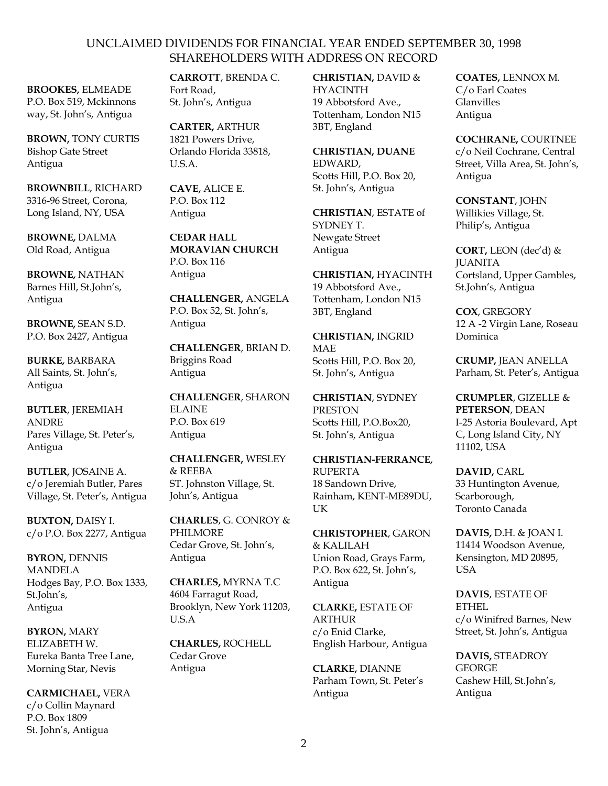**BROOKES,** ELMEADE P.O. Box 519, Mckinnons way, St. John's, Antigua

**BROWN,** TONY CURTIS Bishop Gate Street Antigua

**BROWNBILL**, RICHARD 3316-96 Street, Corona, Long Island, NY, USA

**BROWNE,** DALMA Old Road, Antigua

**BROWNE,** NATHAN Barnes Hill, St.John's, Antigua

**BROWNE,** SEAN S.D. P.O. Box 2427, Antigua

**BURKE,** BARBARA All Saints, St. John's, Antigua

**BUTLER**, JEREMIAH ANDRE Pares Village, St. Peter's, Antigua

**BUTLER,** JOSAINE A. c/o Jeremiah Butler, Pares Village, St. Peter's, Antigua

**BUXTON,** DAISY I. c/o P.O. Box 2277, Antigua

**BYRON,** DENNIS MANDELA Hodges Bay, P.O. Box 1333, St.John's, Antigua

**BYRON,** MARY ELIZABETH W. Eureka Banta Tree Lane, Morning Star, Nevis

**CARMICHAEL,** VERA c/o Collin Maynard P.O. Box 1809 St. John's, Antigua

**CARROTT**, BRENDA C. Fort Road, St. John's, Antigua

**CARTER,** ARTHUR 1821 Powers Drive, Orlando Florida 33818, U.S.A.

**CAVE,** ALICE E. P.O. Box 112 Antigua

**CEDAR HALL MORAVIAN CHURCH** P.O. Box 116 Antigua

**CHALLENGER,** ANGELA P.O. Box 52, St. John's, Antigua

**CHALLENGER**, BRIAN D. Briggins Road Antigua

**CHALLENGER**, SHARON ELAINE P.O. Box 619 Antigua

**CHALLENGER,** WESLEY & REEBA ST. Johnston Village, St. John's, Antigua

**CHARLES**, G. CONROY & PHILMORE Cedar Grove, St. John's, Antigua

**CHARLES,** MYRNA T.C 4604 Farragut Road, Brooklyn, New York 11203, U.S.A

**CHARLES,** ROCHELL Cedar Grove Antigua

**CHRISTIAN,** DAVID & HYACINTH 19 Abbotsford Ave., Tottenham, London N15 3BT, England

**CHRISTIAN, DUANE** EDWARD, Scotts Hill, P.O. Box 20, St. John's, Antigua

**CHRISTIAN**, ESTATE of SYDNEY T. Newgate Street Antigua

**CHRISTIAN,** HYACINTH 19 Abbotsford Ave., Tottenham, London N15 3BT, England

**CHRISTIAN,** INGRID MAE Scotts Hill, P.O. Box 20, St. John's, Antigua

**CHRISTIAN**, SYDNEY PRESTON Scotts Hill, P.O.Box20, St. John's, Antigua

**CHRISTIAN-FERRANCE,** RUPERTA 18 Sandown Drive, Rainham, KENT-ME89DU, UK

**CHRISTOPHER**, GARON & KALILAH Union Road, Grays Farm, P.O. Box 622, St. John's, Antigua

**CLARKE,** ESTATE OF **ARTHUR** c/o Enid Clarke, English Harbour, Antigua

**CLARKE,** DIANNE Parham Town, St. Peter's Antigua

**COATES,** LENNOX M. C/o Earl Coates Glanvilles Antigua

**COCHRANE,** COURTNEE c/o Neil Cochrane, Central Street, Villa Area, St. John's, Antigua

**CONSTANT**, JOHN Willikies Village, St. Philip's, Antigua

**CORT,** LEON (dec'd) & **JUANITA** Cortsland, Upper Gambles, St.John's, Antigua

**COX**, GREGORY 12 A -2 Virgin Lane, Roseau Dominica

**CRUMP,** JEAN ANELLA Parham, St. Peter's, Antigua

**CRUMPLER**, GIZELLE & **PETERSON**, DEAN I-25 Astoria Boulevard, Apt C, Long Island City, NY 11102, USA

**DAVID,** CARL 33 Huntington Avenue, Scarborough, Toronto Canada

**DAVIS,** D.H. & JOAN I. 11414 Woodson Avenue, Kensington, MD 20895, USA

**DAVIS**, ESTATE OF ETHEL c/o Winifred Barnes, New Street, St. John's, Antigua

**DAVIS,** STEADROY **GEORGE** Cashew Hill, St.John's, Antigua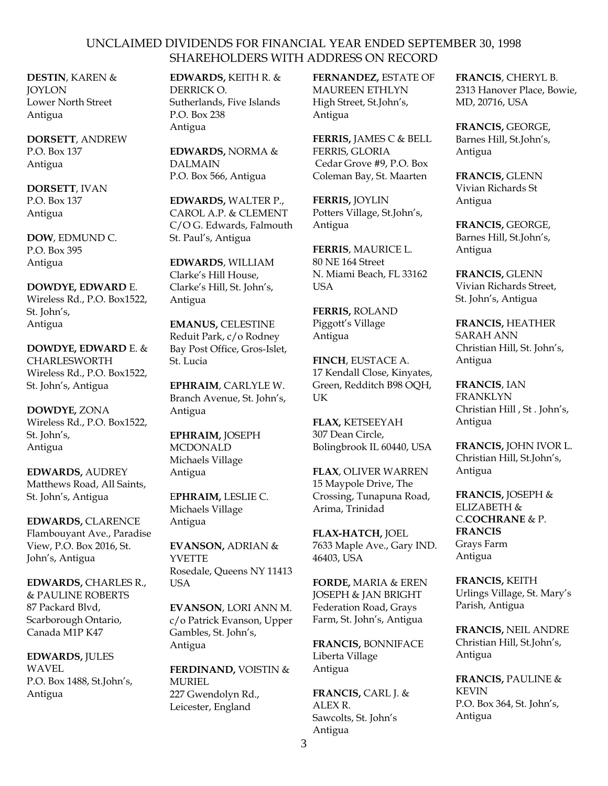**DESTIN**, KAREN & JOYLON Lower North Street Antigua

**DORSETT**, ANDREW P.O. Box 137 Antigua

**DORSETT**, IVAN P.O. Box 137 Antigua

**DOW**, EDMUND C. P.O. Box 395 Antigua

**DOWDYE, EDWARD** E. Wireless Rd., P.O. Box1522, St. John's, Antigua

**DOWDYE, EDWARD** E. & CHARLESWORTH Wireless Rd., P.O. Box1522, St. John's, Antigua

**DOWDYE,** ZONA Wireless Rd., P.O. Box1522, St. John's, Antigua

**EDWARDS,** AUDREY Matthews Road, All Saints, St. John's, Antigua

**EDWARDS,** CLARENCE Flambouyant Ave., Paradise View, P.O. Box 2016, St. John's, Antigua

**EDWARDS,** CHARLES R., & PAULINE ROBERTS 87 Packard Blvd, Scarborough Ontario, Canada M1P K47

**EDWARDS,** JULES WAVEL P.O. Box 1488, St.John's, Antigua

**EDWARDS,** KEITH R. & DERRICK O. Sutherlands, Five Islands P.O. Box 238 Antigua

**EDWARDS,** NORMA & DALMAIN P.O. Box 566, Antigua

**EDWARDS,** WALTER P., CAROL A.P. & CLEMENT C/O G. Edwards, Falmouth St. Paul's, Antigua

**EDWARDS**, WILLIAM Clarke's Hill House, Clarke's Hill, St. John's, Antigua

**EMANUS,** CELESTINE Reduit Park, c/o Rodney Bay Post Office, Gros-Islet, St. Lucia

**EPHRAIM**, CARLYLE W. Branch Avenue, St. John's, Antigua

**EPHRAIM,** JOSEPH MCDONALD Michaels Village Antigua

E**PHRAIM,** LESLIE C. Michaels Village Antigua

**EVANSON,** ADRIAN & YVETTE Rosedale, Queens NY 11413 **USA** 

**EVANSON**, LORI ANN M. c/o Patrick Evanson, Upper Gambles, St. John's, Antigua

**FERDINAND,** VOISTIN & **MURIEL** 227 Gwendolyn Rd., Leicester, England

**FERNANDEZ,** ESTATE OF MAUREEN ETHLYN High Street, St.John's, Antigua

**FERRIS,** JAMES C & BELL FERRIS, GLORIA Cedar Grove #9, P.O. Box Coleman Bay, St. Maarten

**FERRIS,** JOYLIN Potters Village, St.John's, Antigua

**FERRIS**, MAURICE L. 80 NE 164 Street N. Miami Beach, FL 33162 USA

**FERRIS,** ROLAND Piggott's Village Antigua

**FINCH**, EUSTACE A. 17 Kendall Close, Kinyates, Green, Redditch B98 OQH, UK

**FLAX,** KETSEEYAH 307 Dean Circle, Bolingbrook IL 60440, USA

**FLAX**, OLIVER WARREN 15 Maypole Drive, The Crossing, Tunapuna Road, Arima, Trinidad

**FLAX-HATCH,** JOEL 7633 Maple Ave., Gary IND. 46403, USA

**FORDE,** MARIA & EREN JOSEPH & JAN BRIGHT Federation Road, Grays Farm, St. John's, Antigua

**FRANCIS,** BONNIFACE Liberta Village Antigua

**FRANCIS,** CARL J. & ALEX R. Sawcolts, St. John's Antigua

**FRANCIS**, CHERYL B. 2313 Hanover Place, Bowie, MD, 20716, USA

**FRANCIS,** GEORGE, Barnes Hill, St.John's, Antigua

**FRANCIS,** GLENN Vivian Richards St Antigua

**FRANCIS,** GEORGE, Barnes Hill, St.John's, Antigua

**FRANCIS,** GLENN Vivian Richards Street, St. John's, Antigua

**FRANCIS,** HEATHER SARAH ANN Christian Hill, St. John's, Antigua

**FRANCIS**, IAN FRANKLYN Christian Hill , St . John's, Antigua

**FRANCIS,** JOHN IVOR L. Christian Hill, St.John's, Antigua

**FRANCIS,** JOSEPH & ELIZABETH & C.**COCHRANE** & P. **FRANCIS** Grays Farm Antigua

**FRANCIS,** KEITH Urlings Village, St. Mary's Parish, Antigua

**FRANCIS,** NEIL ANDRE Christian Hill, St.John's, Antigua

**FRANCIS,** PAULINE & KEVIN P.O. Box 364, St. John's, Antigua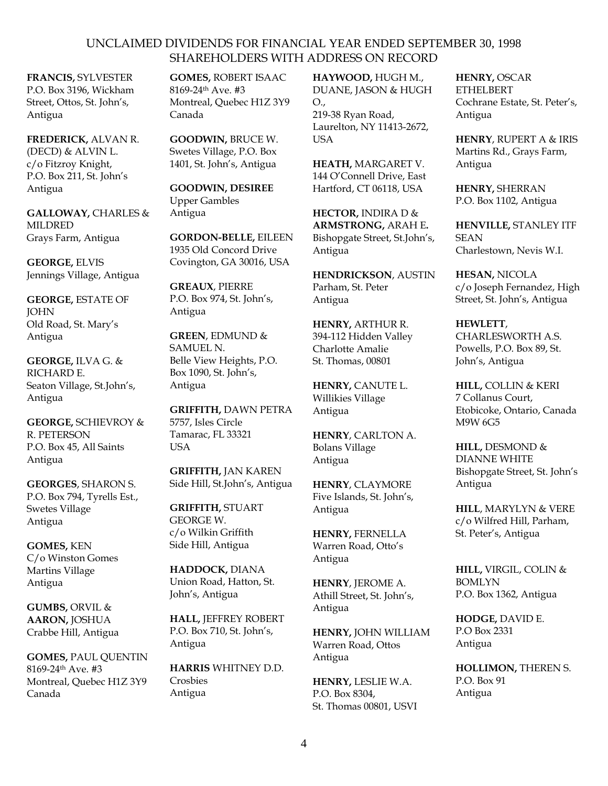**FRANCIS,** SYLVESTER P.O. Box 3196, Wickham Street, Ottos, St. John's, Antigua

**FREDERICK,** ALVAN R. (DECD) & ALVIN L. c/o Fitzroy Knight, P.O. Box 211, St. John's Antigua

**GALLOWAY,** CHARLES & MILDRED Grays Farm, Antigua

**GEORGE,** ELVIS Jennings Village, Antigua

**GEORGE,** ESTATE OF **JOHN** Old Road, St. Mary's Antigua

**GEORGE,** ILVA G. & RICHARD E. Seaton Village, St.John's, Antigua

**GEORGE,** SCHIEVROY & R. PETERSON P.O. Box 45, All Saints Antigua

**GEORGES**, SHARON S. P.O. Box 794, Tyrells Est., Swetes Village Antigua

**GOMES,** KEN C/o Winston Gomes Martins Village Antigua

**GUMBS,** ORVIL & **AARON,** JOSHUA Crabbe Hill, Antigua

**GOMES,** PAUL QUENTIN 8169-24th Ave. #3 Montreal, Quebec H1Z 3Y9 Canada

**GOMES,** ROBERT ISAAC 8169-24th Ave. #3 Montreal, Quebec H1Z 3Y9 Canada

**GOODWIN,** BRUCE W. Swetes Village, P.O. Box 1401, St. John's, Antigua

**GOODWIN, DESIREE** Upper Gambles Antigua

**GORDON-BELLE,** EILEEN 1935 Old Concord Drive Covington, GA 30016, USA

**GREAUX**, PIERRE P.O. Box 974, St. John's, Antigua

**GREEN**, EDMUND & SAMUEL N. Belle View Heights, P.O. Box 1090, St. John's, Antigua

**GRIFFITH,** DAWN PETRA 5757, Isles Circle Tamarac, FL 33321 **USA** 

**GRIFFITH,** JAN KAREN Side Hill, St.John's, Antigua

**GRIFFITH,** STUART GEORGE W. c/o Wilkin Griffith Side Hill, Antigua

**HADDOCK,** DIANA Union Road, Hatton, St. John's, Antigua

**HALL,** JEFFREY ROBERT P.O. Box 710, St. John's, Antigua

**HARRIS** WHITNEY D.D. Crosbies Antigua

**HAYWOOD,** HUGH M., DUANE, JASON & HUGH O., 219-38 Ryan Road, Laurelton, NY 11413-2672, **I** ISA

**HEATH,** MARGARET V. 144 O'Connell Drive, East Hartford, CT 06118, USA

**HECTOR,** INDIRA D & **ARMSTRONG,** ARAH E**.** Bishopgate Street, St.John's, Antigua

**HENDRICKSON**, AUSTIN Parham, St. Peter Antigua

**HENRY,** ARTHUR R. 394-112 Hidden Valley Charlotte Amalie St. Thomas, 00801

**HENRY,** CANUTE L. Willikies Village Antigua

**HENRY**, CARLTON A. Bolans Village Antigua

**HENRY**, CLAYMORE Five Islands, St. John's, Antigua

**HENRY,** FERNELLA Warren Road, Otto's Antigua

**HENRY**, JEROME A. Athill Street, St. John's, Antigua

**HENRY,** JOHN WILLIAM Warren Road, Ottos Antigua

**HENRY,** LESLIE W.A. P.O. Box 8304, St. Thomas 00801, USVI **HENRY,** OSCAR ETHELBERT Cochrane Estate, St. Peter's, Antigua

**HENRY**, RUPERT A & IRIS Martins Rd., Grays Farm, Antigua

**HENRY,** SHERRAN P.O. Box 1102, Antigua

**HENVILLE,** STANLEY ITF **SEAN** Charlestown, Nevis W.I.

**HESAN,** NICOLA c/o Joseph Fernandez, High Street, St. John's, Antigua

**HEWLETT**, CHARLESWORTH A.S. Powells, P.O. Box 89, St. John's, Antigua

**HILL,** COLLIN & KERI 7 Collanus Court, Etobicoke, Ontario, Canada M9W 6G5

**HILL,** DESMOND & DIANNE WHITE Bishopgate Street, St. John's Antigua

**HILL**, MARYLYN & VERE c/o Wilfred Hill, Parham, St. Peter's, Antigua

**HILL,** VIRGIL, COLIN & BOMLYN P.O. Box 1362, Antigua

**HODGE,** DAVID E. P.O Box 2331 Antigua

**HOLLIMON,** THEREN S. P.O. Box 91 Antigua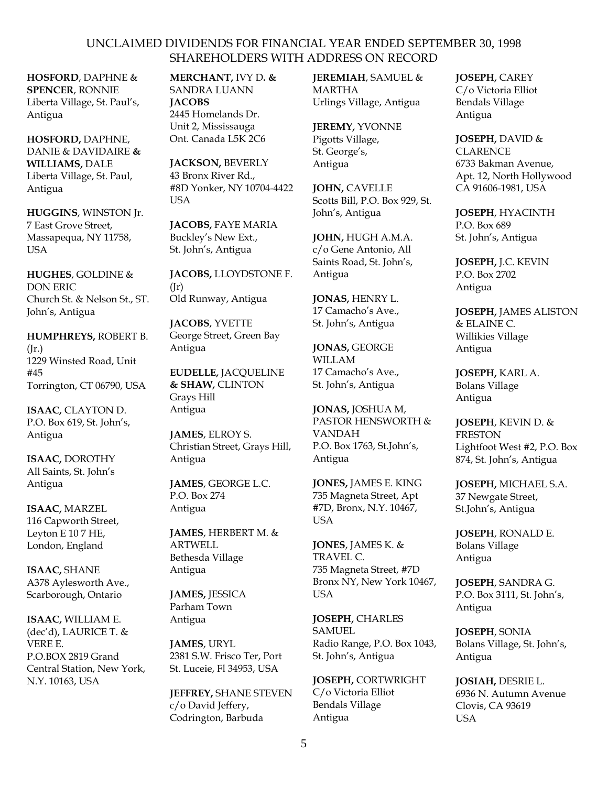**HOSFORD**, DAPHNE & **SPENCER**, RONNIE Liberta Village, St. Paul's, Antigua

**HOSFORD,** DAPHNE, DANIE & DAVIDAIRE **& WILLIAMS,** DALE Liberta Village, St. Paul, Antigua

**HUGGINS**, WINSTON Jr. 7 East Grove Street, Massapequa, NY 11758, **I**ISA

**HUGHES**, GOLDINE & DON ERIC Church St. & Nelson St., ST. John's, Antigua

**HUMPHREYS,** ROBERT B. (Jr.) 1229 Winsted Road, Unit #45 Torrington, CT 06790, USA

**ISAAC,** CLAYTON D. P.O. Box 619, St. John's, Antigua

**ISAAC,** DOROTHY All Saints, St. John's Antigua

**ISAAC,** MARZEL 116 Capworth Street, Leyton E 10 7 HE, London, England

**ISAAC,** SHANE A378 Aylesworth Ave., Scarborough, Ontario

**ISAAC,** WILLIAM E. (dec'd), LAURICE T. & VERE E. P.O.BOX 2819 Grand Central Station, New York, N.Y. 10163, USA

**MERCHANT,** IVY D**. &**  SANDRA LUANN **JACOBS** 2445 Homelands Dr. Unit 2, Mississauga Ont. Canada L5K 2C6

**JACKSON,** BEVERLY 43 Bronx River Rd., #8D Yonker, NY 10704-4422 USA

**JACOBS,** FAYE MARIA Buckley's New Ext., St. John's, Antigua

**JACOBS,** LLOYDSTONE F.  $(Ir)$ Old Runway, Antigua

**JACOBS**, YVETTE George Street, Green Bay Antigua

**EUDELLE,** JACQUELINE **& SHAW,** CLINTON Grays Hill Antigua

**JAMES**, ELROY S. Christian Street, Grays Hill, Antigua

**JAMES**, GEORGE L.C. P.O. Box 274 Antigua

**JAMES**, HERBERT M. & ARTWELL Bethesda Village Antigua

**JAMES,** JESSICA Parham Town Antigua

**JAMES**, URYL 2381 S.W. Frisco Ter, Port St. Luceie, Fl 34953, USA

**JEFFREY,** SHANE STEVEN c/o David Jeffery, Codrington, Barbuda

**JEREMIAH**, SAMUEL & MARTHA Urlings Village, Antigua

**JEREMY,** YVONNE Pigotts Village, St. George's, Antigua

**JOHN,** CAVELLE Scotts Bill, P.O. Box 929, St. John's, Antigua

**JOHN,** HUGH A.M.A. c/o Gene Antonio, All Saints Road, St. John's, Antigua

**JONAS,** HENRY L. 17 Camacho's Ave., St. John's, Antigua

**JONAS,** GEORGE WILLAM 17 Camacho's Ave., St. John's, Antigua

**JONAS,** JOSHUA M, PASTOR HENSWORTH & VANDAH P.O. Box 1763, St.John's, Antigua

**JONES,** JAMES E. KING 735 Magneta Street, Apt #7D, Bronx, N.Y. 10467, USA

**JONES**, JAMES K. & TRAVEL C. 735 Magneta Street, #7D Bronx NY, New York 10467, USA

**JOSEPH,** CHARLES SAMUEL Radio Range, P.O. Box 1043, St. John's, Antigua

**JOSEPH,** CORTWRIGHT C/o Victoria Elliot Bendals Village Antigua

**JOSEPH,** CAREY C/o Victoria Elliot Bendals Village Antigua

**JOSEPH,** DAVID & **CLARENCE** 6733 Bakman Avenue, Apt. 12, North Hollywood CA 91606-1981, USA

**JOSEPH**, HYACINTH P.O. Box 689 St. John's, Antigua

**JOSEPH,** J.C. KEVIN P.O. Box 2702 Antigua

**JOSEPH,** JAMES ALISTON & ELAINE C. Willikies Village Antigua

**JOSEPH,** KARL A. Bolans Village Antigua

**JOSEPH**, KEVIN D. & FRESTON Lightfoot West #2, P.O. Box 874, St. John's, Antigua

**JOSEPH,** MICHAEL S.A. 37 Newgate Street, St.John's, Antigua

**JOSEPH**, RONALD E. Bolans Village Antigua

**JOSEPH**, SANDRA G. P.O. Box 3111, St. John's, Antigua

**JOSEPH**, SONIA Bolans Village, St. John's, Antigua

**JOSIAH,** DESRIE L. 6936 N. Autumn Avenue Clovis, CA 93619 USA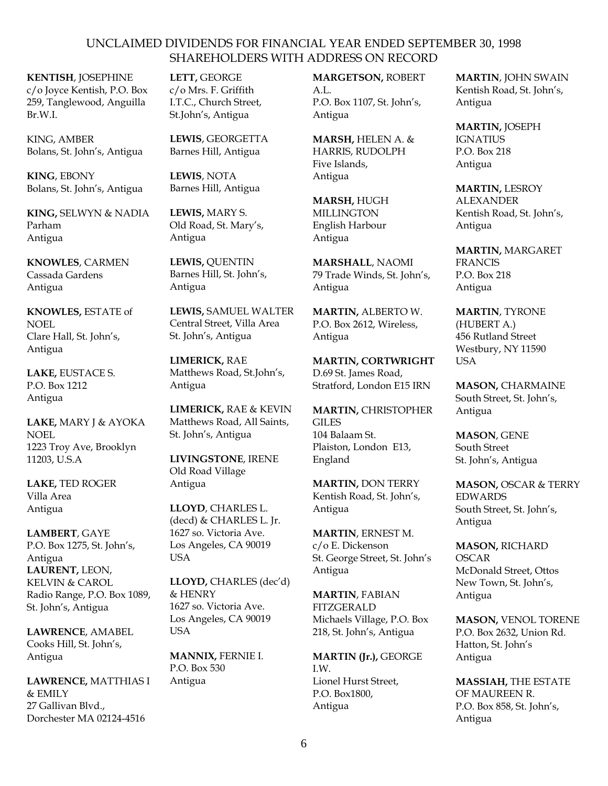**KENTISH**, JOSEPHINE c/o Joyce Kentish, P.O. Box 259, Tanglewood, Anguilla Br.W.I.

KING, AMBER Bolans, St. John's, Antigua

**KING**, EBONY Bolans, St. John's, Antigua

**KING,** SELWYN & NADIA Parham Antigua

**KNOWLES**, CARMEN Cassada Gardens Antigua

**KNOWLES,** ESTATE of NOEL Clare Hall, St. John's, Antigua

**LAKE,** EUSTACE S. P.O. Box 1212 Antigua

**LAKE,** MARY J & AYOKA NOEL 1223 Troy Ave, Brooklyn 11203, U.S.A

**LAKE,** TED ROGER Villa Area Antigua

**LAMBERT**, GAYE P.O. Box 1275, St. John's, Antigua **LAURENT,** LEON, KELVIN & CAROL Radio Range, P.O. Box 1089, St. John's, Antigua

**LAWRENCE**, AMABEL Cooks Hill, St. John's, Antigua

**LAWRENCE,** MATTHIAS I & EMILY 27 Gallivan Blvd., Dorchester MA 02124-4516

**LETT,** GEORGE c/o Mrs. F. Griffith I.T.C., Church Street, St.John's, Antigua

**LEWIS**, GEORGETTA Barnes Hill, Antigua

**LEWIS**, NOTA Barnes Hill, Antigua

**LEWIS,** MARY S. Old Road, St. Mary's, Antigua

**LEWIS,** QUENTIN Barnes Hill, St. John's, Antigua

**LEWIS,** SAMUEL WALTER Central Street, Villa Area St. John's, Antigua

**LIMERICK,** RAE Matthews Road, St.John's, Antigua

**LIMERICK,** RAE & KEVIN Matthews Road, All Saints, St. John's, Antigua

**LIVINGSTONE**, IRENE Old Road Village Antigua

**LLOYD**, CHARLES L. (decd) & CHARLES L. Jr. 1627 so. Victoria Ave. Los Angeles, CA 90019 USA

**LLOYD,** CHARLES (dec'd) & HENRY 1627 so. Victoria Ave. Los Angeles, CA 90019 USA

**MANNIX,** FERNIE I. P.O. Box 530 Antigua

**MARGETSON,** ROBERT A.L. P.O. Box 1107, St. John's, Antigua

**MARSH,** HELEN A. & HARRIS, RUDOLPH Five Islands, Antigua

**MARSH,** HUGH **MILLINGTON** English Harbour Antigua

**MARSHALL**, NAOMI 79 Trade Winds, St. John's, Antigua

**MARTIN,** ALBERTO W. P.O. Box 2612, Wireless, Antigua

**MARTIN, CORTWRIGHT** D.69 St. James Road, Stratford, London E15 IRN

**MARTIN,** CHRISTOPHER **GILES** 104 Balaam St. Plaiston, London E13, England

**MARTIN,** DON TERRY Kentish Road, St. John's, Antigua

**MARTIN**, ERNEST M. c/o E. Dickenson St. George Street, St. John's Antigua

**MARTIN**, FABIAN **FITZGERALD** Michaels Village, P.O. Box 218, St. John's, Antigua

**MARTIN (Jr.),** GEORGE I.W. Lionel Hurst Street, P.O. Box1800, Antigua

**MARTIN**, JOHN SWAIN Kentish Road, St. John's, Antigua

**MARTIN,** JOSEPH IGNATIUS P.O. Box 218 Antigua

**MARTIN,** LESROY ALEXANDER Kentish Road, St. John's, Antigua

**MARTIN,** MARGARET FRANCIS P.O. Box 218 Antigua

**MARTIN**, TYRONE (HUBERT A.) 456 Rutland Street Westbury, NY 11590 USA

**MASON,** CHARMAINE South Street, St. John's, Antigua

**MASON**, GENE South Street St. John's, Antigua

**MASON,** OSCAR & TERRY EDWARDS South Street, St. John's, Antigua

**MASON,** RICHARD **OSCAR** McDonald Street, Ottos New Town, St. John's, Antigua

**MASON,** VENOL TORENE P.O. Box 2632, Union Rd. Hatton, St. John's Antigua

**MASSIAH,** THE ESTATE OF MAUREEN R. P.O. Box 858, St. John's, Antigua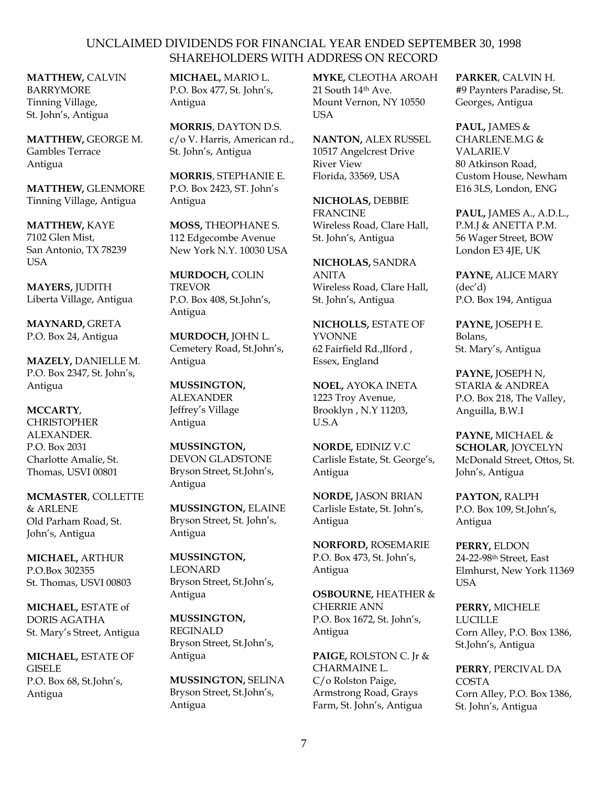**MATTHEW,** CALVIN BARRYMORE Tinning Village, St. John's, Antigua

**MATTHEW,** GEORGE M. Gambles Terrace Antigua

**MATTHEW,** GLENMORE Tinning Village, Antigua

**MATTHEW,** KAYE 7102 Glen Mist, San Antonio, TX 78239 **USA** 

**MAYERS,** JUDITH Liberta Village, Antigua

**MAYNARD,** GRETA P.O. Box 24, Antigua

**MAZELY,** DANIELLE M. P.O. Box 2347, St. John's, Antigua

# **MCCARTY**,

**CHRISTOPHER** ALEXANDER. P.O. Box 2031 Charlotte Amalie, St. Thomas, USVI 00801

**MCMASTER**, COLLETTE & ARLENE Old Parham Road, St. John's, Antigua

**MICHAEL,** ARTHUR P.O.Box 302355 St. Thomas, USVI 00803

**MICHAEL,** ESTATE of DORIS AGATHA St. Mary's Street, Antigua

**MICHAEL,** ESTATE OF GISELE P.O. Box 68, St.John's, Antigua

**MICHAEL,** MARIO L. P.O. Box 477, St. John's, Antigua

**MORRIS**, DAYTON D.S. c/o V. Harris, American rd., St. John's, Antigua

**MORRIS**, STEPHANIE E. P.O. Box 2423, ST. John's Antigua

**MOSS,** THEOPHANE S. 112 Edgecombe Avenue New York N.Y. 10030 USA

**MURDOCH,** COLIN TREVOR P.O. Box 408, St.John's, Antigua

**MURDOCH,** JOHN L. Cemetery Road, St.John's, Antigua

**MUSSINGTON,** ALEXANDER Jeffrey's Village Antigua

**MUSSINGTON,** DEVON GLADSTONE Bryson Street, St.John's, Antigua

**MUSSINGTON,** ELAINE Bryson Street, St. John's, Antigua

**MUSSINGTON,** LEONARD Bryson Street, St.John's, Antigua

**MUSSINGTON,**  REGINALD Bryson Street, St.John's, Antigua

**MUSSINGTON,** SELINA Bryson Street, St.John's, Antigua

**MYKE,** CLEOTHA AROAH 21 South 14th Ave. Mount Vernon, NY 10550 **USA** 

**NANTON,** ALEX RUSSEL 10517 Angelcrest Drive River View Florida, 33569, USA

**NICHOLAS,** DEBBIE FRANCINE Wireless Road, Clare Hall, St. John's, Antigua

**NICHOLAS,** SANDRA ANITA Wireless Road, Clare Hall, St. John's, Antigua

**NICHOLLS,** ESTATE OF YVONNE 62 Fairfield Rd.,Ilford , Essex, England

**NOEL,** AYOKA INETA 1223 Troy Avenue, Brooklyn , N.Y 11203, U.S.A

**NORDE,** EDINIZ V.C Carlisle Estate, St. George's, Antigua

**NORDE,** JASON BRIAN Carlisle Estate, St. John's, Antigua

**NORFORD,** ROSEMARIE P.O. Box 473, St. John's, Antigua

**OSBOURNE,** HEATHER & CHERRIE ANN P.O. Box 1672, St. John's, Antigua

**PAIGE,** ROLSTON C. Jr & CHARMAINE L. C/o Rolston Paige, Armstrong Road, Grays Farm, St. John's, Antigua

**PARKER**, CALVIN H. #9 Paynters Paradise, St. Georges, Antigua

**PAUL,** JAMES & CHARLENE.M.G & VALARIE.V 80 Atkinson Road, Custom House, Newham E16 3LS, London, ENG

**PAUL,** JAMES A., A.D.L., P.M.J & ANETTA P.M. 56 Wager Street, BOW London E3 4JE, UK

**PAYNE,** ALICE MARY (dec'd) P.O. Box 194, Antigua

**PAYNE,** JOSEPH E. Bolans, St. Mary's, Antigua

**PAYNE,** JOSEPH N, STARIA & ANDREA P.O. Box 218, The Valley, Anguilla, B.W.I

**PAYNE,** MICHAEL & **SCHOLAR**, JOYCELYN McDonald Street, Ottos, St. John's, Antigua

**PAYTON,** RALPH P.O. Box 109, St.John's, Antigua

**PERRY,** ELDON 24-22-98th Street, East Elmhurst, New York 11369 USA

**PERRY,** MICHELE LUCILLE Corn Alley, P.O. Box 1386, St.John's, Antigua

**PERRY**, PERCIVAL DA **COSTA** Corn Alley, P.O. Box 1386, St. John's, Antigua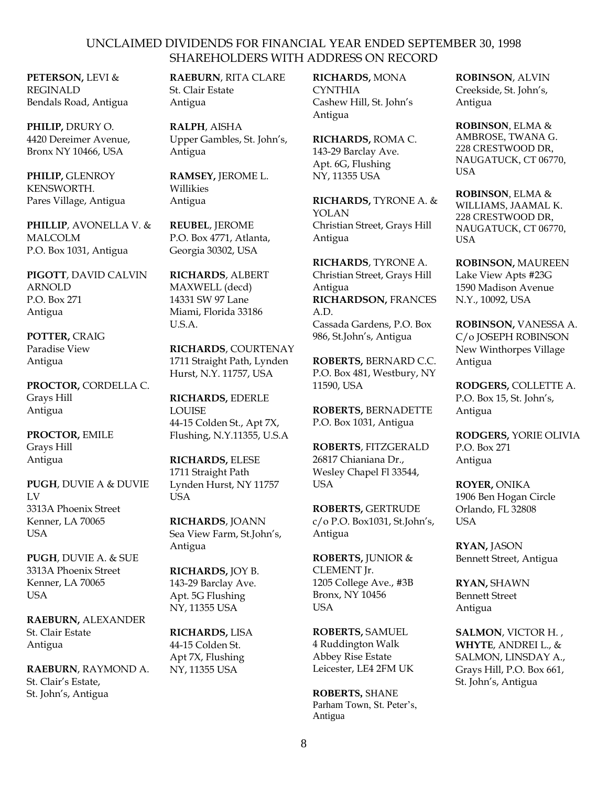**PETERSON,** LEVI & REGINALD Bendals Road, Antigua

**PHILIP,** DRURY O. 4420 Dereimer Avenue, Bronx NY 10466, USA

**PHILIP,** GLENROY KENSWORTH. Pares Village, Antigua

**PHILLIP**, AVONELLA V. & MALCOLM P.O. Box 1031, Antigua

**PIGOTT**, DAVID CALVIN ARNOLD P.O. Box 271 Antigua

**POTTER,** CRAIG Paradise View Antigua

**PROCTOR,** CORDELLA C. Grays Hill Antigua

**PROCTOR,** EMILE Grays Hill Antigua

**PUGH**, DUVIE A & DUVIE LV 3313A Phoenix Street Kenner, LA 70065 **I**ISA

**PUGH**, DUVIE A. & SUE 3313A Phoenix Street Kenner, LA 70065 USA

**RAEBURN,** ALEXANDER St. Clair Estate Antigua

**RAEBURN**, RAYMOND A. St. Clair's Estate, St. John's, Antigua

**RAEBURN**, RITA CLARE St. Clair Estate Antigua

**RALPH**, AISHA Upper Gambles, St. John's, Antigua

**RAMSEY,** JEROME L. Willikies Antigua

**REUBEL**, JEROME P.O. Box 4771, Atlanta, Georgia 30302, USA

**RICHARDS**, ALBERT MAXWELL (decd) 14331 SW 97 Lane Miami, Florida 33186 U.S.A.

**RICHARDS**, COURTENAY 1711 Straight Path, Lynden Hurst, N.Y. 11757, USA

**RICHARDS,** EDERLE LOUISE 44-15 Colden St., Apt 7X, Flushing, N.Y.11355, U.S.A

**RICHARDS,** ELESE 1711 Straight Path Lynden Hurst, NY 11757 **USA** 

**RICHARDS**, JOANN Sea View Farm, St.John's, Antigua

**RICHARDS,** JOY B. 143-29 Barclay Ave. Apt. 5G Flushing NY, 11355 USA

**RICHARDS,** LISA 44-15 Colden St. Apt 7X, Flushing NY, 11355 USA

**RICHARDS,** MONA **CYNTHIA** Cashew Hill, St. John's Antigua

**RICHARDS,** ROMA C. 143-29 Barclay Ave. Apt. 6G, Flushing NY, 11355 USA

**RICHARDS,** TYRONE A. & YOLAN Christian Street, Grays Hill Antigua

**RICHARDS**, TYRONE A. Christian Street, Grays Hill Antigua **RICHARDSON,** FRANCES A.D. Cassada Gardens, P.O. Box 986, St.John's, Antigua

**ROBERTS,** BERNARD C.C. P.O. Box 481, Westbury, NY 11590, USA

**ROBERTS,** BERNADETTE P.O. Box 1031, Antigua

**ROBERTS**, FITZGERALD 26817 Chianiana Dr., Wesley Chapel Fl 33544, USA

**ROBERTS,** GERTRUDE c/o P.O. Box1031, St.John's, Antigua

**ROBERTS,** JUNIOR & CLEMENT Jr. 1205 College Ave., #3B Bronx, NY 10456 USA

**ROBERTS,** SAMUEL 4 Ruddington Walk Abbey Rise Estate Leicester, LE4 2FM UK

**ROBERTS,** SHANE Parham Town, St. Peter's, Antigua

**ROBINSON**, ALVIN Creekside, St. John's, Antigua

**ROBINSON**, ELMA & AMBROSE, TWANA G. 228 CRESTWOOD DR, NAUGATUCK, CT 06770, USA

**ROBINSON**, ELMA & WILLIAMS, JAAMAL K. 228 CRESTWOOD DR, NAUGATUCK, CT 06770, USA

**ROBINSON,** MAUREEN Lake View Apts #23G 1590 Madison Avenue N.Y., 10092, USA

**ROBINSON,** VANESSA A. C/o JOSEPH ROBINSON New Winthorpes Village Antigua

**RODGERS,** COLLETTE A. P.O. Box 15, St. John's, Antigua

**RODGERS,** YORIE OLIVIA P.O. Box 271 Antigua

**ROYER,** ONIKA 1906 Ben Hogan Circle Orlando, FL 32808 **USA** 

**RYAN,** JASON Bennett Street, Antigua

**RYAN,** SHAWN Bennett Street Antigua

**SALMON**, VICTOR H. , **WHYTE**, ANDREI L., & SALMON, LINSDAY A., Grays Hill, P.O. Box 661, St. John's, Antigua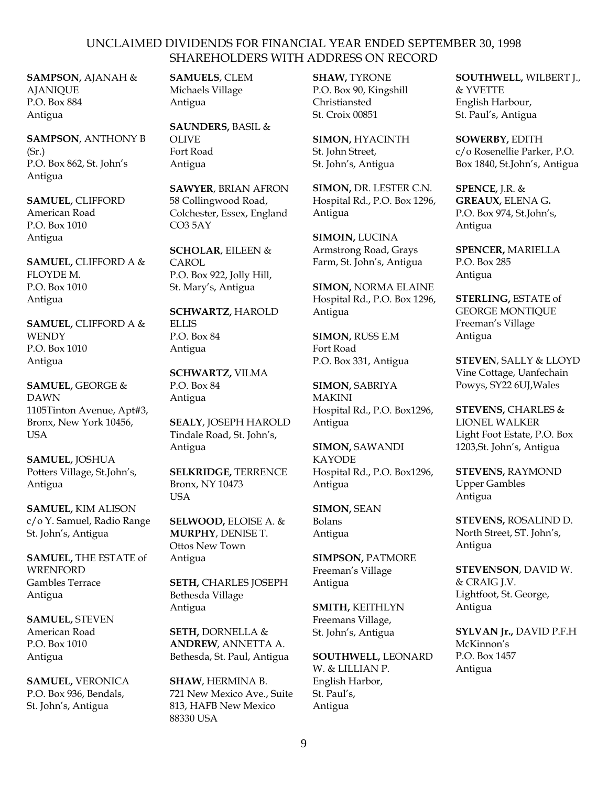**SAMPSON,** AJANAH & **AJANIOUE** P.O. Box 884 Antigua

**SAMPSON**, ANTHONY B (Sr.) P.O. Box 862, St. John's Antigua

**SAMUEL,** CLIFFORD American Road P.O. Box 1010 Antigua

**SAMUEL,** CLIFFORD A & FLOYDE M. P.O. Box 1010 Antigua

**SAMUEL,** CLIFFORD A & **WENDY** P.O. Box 1010 Antigua

**SAMUEL,** GEORGE & DAWN 1105Tinton Avenue, Apt#3, Bronx, New York 10456, **USA** 

**SAMUEL,** JOSHUA Potters Village, St.John's, Antigua

**SAMUEL,** KIM ALISON c/o Y. Samuel, Radio Range St. John's, Antigua

**SAMUEL,** THE ESTATE of WRENFORD Gambles Terrace Antigua

**SAMUEL,** STEVEN American Road P.O. Box 1010 Antigua

**SAMUEL,** VERONICA P.O. Box 936, Bendals, St. John's, Antigua

**SAMUELS**, CLEM Michaels Village Antigua

**SAUNDERS,** BASIL & **OLIVE** Fort Road Antigua

**SAWYER**, BRIAN AFRON 58 Collingwood Road, Colchester, Essex, England CO3 5AY

**SCHOLAR**, EILEEN & CAROL P.O. Box 922, Jolly Hill, St. Mary's, Antigua

**SCHWARTZ,** HAROLD ELLIS  $P$  O. Box 84 Antigua

**SCHWARTZ,** VILMA P.O. Box 84 Antigua

**SEALY**, JOSEPH HAROLD Tindale Road, St. John's, Antigua

**SELKRIDGE,** TERRENCE Bronx, NY 10473 USA

**SELWOOD,** ELOISE A. & **MURPHY**, DENISE T. Ottos New Town Antigua

**SETH,** CHARLES JOSEPH Bethesda Village Antigua

**SETH,** DORNELLA & **ANDREW**, ANNETTA A. Bethesda, St. Paul, Antigua

**SHAW**, HERMINA B. 721 New Mexico Ave., Suite 813, HAFB New Mexico 88330 USA

**SHAW,** TYRONE P.O. Box 90, Kingshill Christiansted St. Croix 00851

**SIMON,** HYACINTH St. John Street, St. John's, Antigua

**SIMON,** DR. LESTER C.N. Hospital Rd., P.O. Box 1296, Antigua

**SIMOIN,** LUCINA Armstrong Road, Grays Farm, St. John's, Antigua

**SIMON,** NORMA ELAINE Hospital Rd., P.O. Box 1296, Antigua

**SIMON,** RUSS E.M Fort Road P.O. Box 331, Antigua

**SIMON,** SABRIYA MAKINI Hospital Rd., P.O. Box1296, Antigua

**SIMON,** SAWANDI **KAYODE** Hospital Rd., P.O. Box1296, Antigua

**SIMON,** SEAN Bolans Antigua

**SIMPSON,** PATMORE Freeman's Village Antigua

**SMITH,** KEITHLYN Freemans Village, St. John's, Antigua

**SOUTHWELL,** LEONARD W. & LILLIAN P. English Harbor, St. Paul's, Antigua

**SOUTHWELL,** WILBERT J., & YVETTE English Harbour, St. Paul's, Antigua

**SOWERBY,** EDITH c/o Rosenellie Parker, P.O. Box 1840, St.John's, Antigua

**SPENCE,** J.R. & **GREAUX,** ELENA G**.** P.O. Box 974, St.John's, Antigua

**SPENCER,** MARIELLA P.O. Box 285 Antigua

**STERLING,** ESTATE of GEORGE MONTIQUE Freeman's Village Antigua

**STEVEN**, SALLY & LLOYD Vine Cottage, Uanfechain Powys, SY22 6UJ,Wales

**STEVENS,** CHARLES & LIONEL WALKER Light Foot Estate, P.O. Box 1203,St. John's, Antigua

**STEVENS,** RAYMOND Upper Gambles Antigua

**STEVENS,** ROSALIND D. North Street, ST. John's, Antigua

**STEVENSON**, DAVID W. & CRAIG J.V. Lightfoot, St. George, Antigua

**SYLVAN Jr.,** DAVID P.F.H McKinnon's P.O. Box 1457 Antigua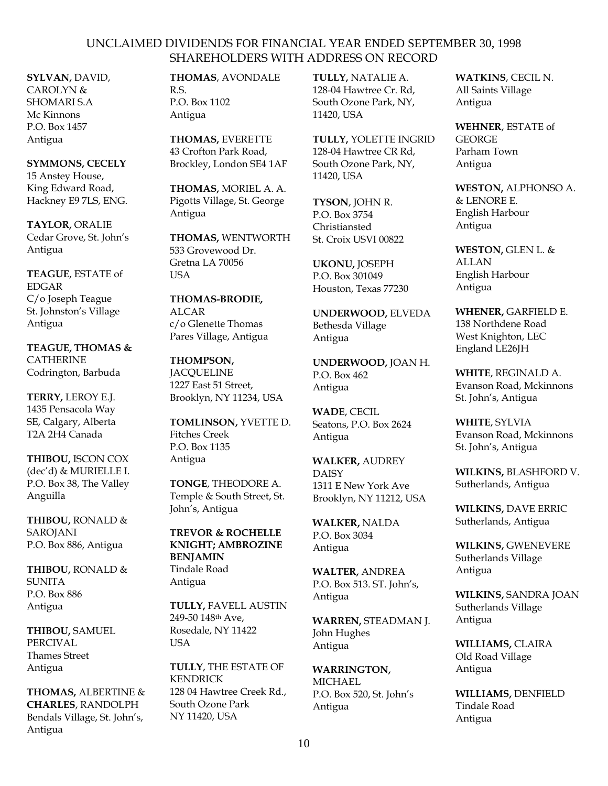**SYLVAN,** DAVID, CAROLYN & SHOMARI S.A Mc Kinnons P.O. Box 1457 Antigua

**SYMMONS, CECELY** 15 Anstey House, King Edward Road, Hackney E9 7LS, ENG.

**TAYLOR,** ORALIE Cedar Grove, St. John's Antigua

**TEAGUE**, ESTATE of EDGAR C/o Joseph Teague St. Johnston's Village Antigua

**TEAGUE, THOMAS & CATHERINE** Codrington, Barbuda

**TERRY,** LEROY E.J. 1435 Pensacola Way SE, Calgary, Alberta T2A 2H4 Canada

**THIBOU,** ISCON COX (dec'd) & MURIELLE I. P.O. Box 38, The Valley Anguilla

**THIBOU,** RONALD & SAROJANI P.O. Box 886, Antigua

**THIBOU,** RONALD & **SUNITA** P.O. Box 886 Antigua

**THIBOU,** SAMUEL PERCIVAL Thames Street Antigua

**THOMAS,** ALBERTINE & **CHARLES**, RANDOLPH Bendals Village, St. John's, Antigua

**THOMAS**, AVONDALE R.S. P.O. Box 1102 Antigua

**THOMAS,** EVERETTE 43 Crofton Park Road, Brockley, London SE4 1AF

**THOMAS,** MORIEL A. A. Pigotts Village, St. George Antigua

**THOMAS,** WENTWORTH 533 Grovewood Dr. Gretna LA 70056 USA

**THOMAS-BRODIE,**  ALCAR c/o Glenette Thomas Pares Village, Antigua

**THOMPSON, JACOUELINE** 1227 East 51 Street, Brooklyn, NY 11234, USA

**TOMLINSON,** YVETTE D. Fitches Creek P.O. Box 1135 Antigua

**TONGE**, THEODORE A. Temple & South Street, St. John's, Antigua

**TREVOR & ROCHELLE KNIGHT; AMBROZINE BENJAMIN** Tindale Road Antigua

**TULLY,** FAVELL AUSTIN 249-50 148th Ave, Rosedale, NY 11422 **USA** 

**TULLY**, THE ESTATE OF **KENDRICK** 128 04 Hawtree Creek Rd., South Ozone Park NY 11420, USA

**TULLY,** NATALIE A. 128-04 Hawtree Cr. Rd, South Ozone Park, NY, 11420, USA

**TULLY,** YOLETTE INGRID 128-04 Hawtree CR Rd, South Ozone Park, NY, 11420, USA

**TYSON**, JOHN R. P.O. Box 3754 Christiansted St. Croix USVI 00822

**UKONU,** JOSEPH P.O. Box 301049 Houston, Texas 77230

**UNDERWOOD,** ELVEDA Bethesda Village Antigua

**UNDERWOOD,** JOAN H. P.O. Box 462 Antigua

**WADE**, CECIL Seatons, P.O. Box 2624 Antigua

**WALKER,** AUDREY **DAISY** 1311 E New York Ave Brooklyn, NY 11212, USA

**WALKER,** NALDA P.O. Box 3034 Antigua

**WALTER,** ANDREA P.O. Box 513. ST. John's, Antigua

**WARREN,** STEADMAN J. John Hughes Antigua

**WARRINGTON,**  MICHAEL P.O. Box 520, St. John's Antigua

**WATKINS**, CECIL N. All Saints Village Antigua

**WEHNER**, ESTATE of **GEORGE** Parham Town Antigua

**WESTON,** ALPHONSO A. & LENORE E. English Harbour Antigua

**WESTON,** GLEN L. & ALLAN English Harbour Antigua

**WHENER,** GARFIELD E. 138 Northdene Road West Knighton, LEC England LE26JH

**WHITE**, REGINALD A. Evanson Road, Mckinnons St. John's, Antigua

**WHITE**, SYLVIA Evanson Road, Mckinnons St. John's, Antigua

**WILKINS,** BLASHFORD V. Sutherlands, Antigua

**WILKINS,** DAVE ERRIC Sutherlands, Antigua

**WILKINS,** GWENEVERE Sutherlands Village Antigua

**WILKINS,** SANDRA JOAN Sutherlands Village Antigua

**WILLIAMS,** CLAIRA Old Road Village Antigua

**WILLIAMS,** DENFIELD Tindale Road Antigua